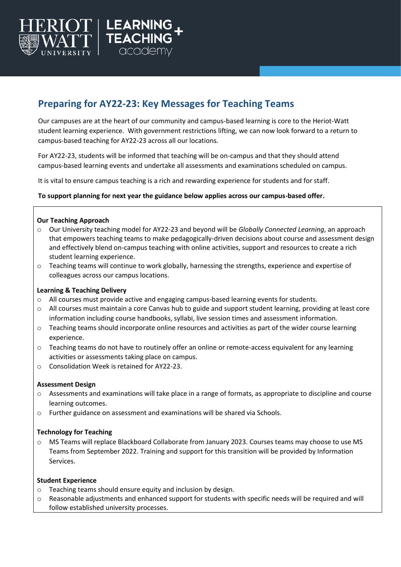

# **Preparing for AY22-23: Key Messages for Teaching Teams**

Our campuses are at the heart of our community and campus-based learning is core to the Heriot-Watt student learning experience. With government restrictions lifting, we can now look forward to a return to campus-based teaching for AY22-23 across all our locations.

For AY22-23, students will be informed that teaching will be on-campus and that they should attend campus-based learning events and undertake all assessments and examinations scheduled on campus.

It is vital to ensure campus teaching is a rich and rewarding experience for students and for staff.

## **To support planning for next year the guidance below applies across our campus-based offer.**

## **Our Teaching Approach**

- o Our University teaching model for AY22-23 and beyond will be *Globally Connected Learning*, an approach that empowers teaching teams to make pedagogically-driven decisions about course and assessment design and effectively blend on-campus teaching with online activities, support and resources to create a rich student learning experience.
- $\circ$  Teaching teams will continue to work globally, harnessing the strengths, experience and expertise of colleagues across our campus locations.

## **Learning & Teaching Delivery**

- $\circ$  All courses must provide active and engaging campus-based learning events for students.
- o All courses must maintain a core Canvas hub to guide and support student learning, providing at least core information including course handbooks, syllabi, live session times and assessment information.
- $\circ$  Teaching teams should incorporate online resources and activities as part of the wider course learning experience.
- $\circ$  Teaching teams do not have to routinely offer an online or remote-access equivalent for any learning activities or assessments taking place on campus.
- o Consolidation Week is retained for AY22-23.

## **Assessment Design**

- $\circ$  Assessments and examinations will take place in a range of formats, as appropriate to discipline and course learning outcomes.
- o Further guidance on assessment and examinations will be shared via Schools.

## **Technology for Teaching**

o MS Teams will replace Blackboard Collaborate from January 2023. Courses teams may choose to use MS Teams from September 2022. Training and support for this transition will be provided by Information Services.

### **Student Experience**

- o Teaching teams should ensure equity and inclusion by design.
- $\circ$  Reasonable adjustments and enhanced support for students with specific needs will be required and will follow established university processes.